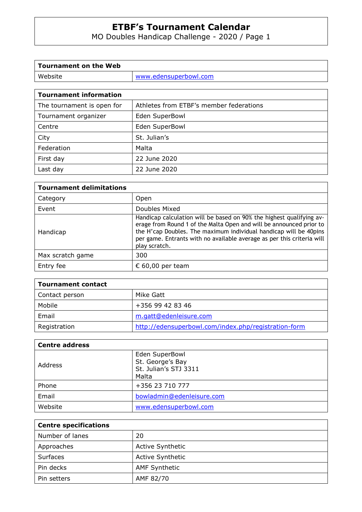# **ETBF's Tournament Calendar**

# MO Doubles Handicap Challenge - 2020 / Page 1

| Tournament on the Web |                       |
|-----------------------|-----------------------|
| Website               | www.edensuperbowl.com |
|                       |                       |

| The tournament is open for | Athletes from ETBF's member federations |  |
|----------------------------|-----------------------------------------|--|
| Tournament organizer       | Eden SuperBowl                          |  |
| Centre                     | Eden SuperBowl                          |  |
| City                       | St. Julian's                            |  |
| Federation                 | Malta                                   |  |
| First day                  | 22 June 2020                            |  |
| Last day                   | 22 June 2020                            |  |

| <b>Tournament delimitations</b> |                                                                                                                                                                                                                                                                                                             |  |  |
|---------------------------------|-------------------------------------------------------------------------------------------------------------------------------------------------------------------------------------------------------------------------------------------------------------------------------------------------------------|--|--|
| Category                        | <b>Open</b>                                                                                                                                                                                                                                                                                                 |  |  |
| Event                           | Doubles Mixed                                                                                                                                                                                                                                                                                               |  |  |
| Handicap                        | Handicap calculation will be based on 90% the highest qualifying av-<br>erage from Round 1 of the Malta Open and will be announced prior to<br>the H'cap Doubles. The maximum individual handicap will be 40pins<br>per game. Entrants with no available average as per this criteria will<br>play scratch. |  |  |
| Max scratch game                | 300                                                                                                                                                                                                                                                                                                         |  |  |
| Entry fee                       | € 60,00 per team                                                                                                                                                                                                                                                                                            |  |  |

| Tournament contact |                                                      |  |  |
|--------------------|------------------------------------------------------|--|--|
| Contact person     | Mike Gatt                                            |  |  |
| Mobile             | +356 99 42 83 46                                     |  |  |
| Email              | m.gatt@edenleisure.com                               |  |  |
| Registration       | http://edensuperbowl.com/index.php/registration-form |  |  |

| <b>Centre address</b> |                                                                      |  |
|-----------------------|----------------------------------------------------------------------|--|
| Address               | Eden SuperBowl<br>St. George's Bay<br>St. Julian's STJ 3311<br>Malta |  |
| Phone                 | +356 23 710 777                                                      |  |
| Email                 | bowladmin@edenleisure.com                                            |  |
| Website               | www.edensuperbowl.com                                                |  |

| <b>Centre specifications</b> |                         |  |
|------------------------------|-------------------------|--|
| Number of lanes              | 20                      |  |
| Approaches                   | <b>Active Synthetic</b> |  |
| Surfaces                     | <b>Active Synthetic</b> |  |
| Pin decks                    | <b>AMF Synthetic</b>    |  |
| Pin setters                  | AMF 82/70               |  |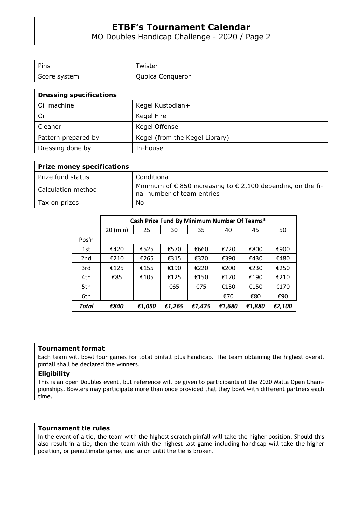## **ETBF's Tournament Calendar**

### MO Doubles Handicap Challenge - 2020 / Page 2

| Pins         | Twister          |
|--------------|------------------|
| Score system | Qubica Conqueror |

| <b>Dressing specifications</b> |                                |  |  |
|--------------------------------|--------------------------------|--|--|
| Oil machine                    | Kegel Kustodian+               |  |  |
| Oil                            | Kegel Fire                     |  |  |
| Cleaner                        | Kegel Offense                  |  |  |
| Pattern prepared by            | Kegel (from the Kegel Library) |  |  |
| Dressing done by               | In-house                       |  |  |

| <b>Prize money specifications</b> |                                                                                                             |  |  |
|-----------------------------------|-------------------------------------------------------------------------------------------------------------|--|--|
| Prize fund status                 | Conditional                                                                                                 |  |  |
| Calculation method                | Minimum of $\epsilon$ 850 increasing to $\epsilon$ 2,100 depending on the fi-<br>nal number of team entries |  |  |
| Tax on prizes                     | No                                                                                                          |  |  |

|                 | Cash Prize Fund By Minimum Number Of Teams* |        |        |        |        |        |        |
|-----------------|---------------------------------------------|--------|--------|--------|--------|--------|--------|
|                 | $20$ (min)                                  | 25     | 30     | 35     | 40     | 45     | 50     |
| Pos'n           |                                             |        |        |        |        |        |        |
| 1st             | €420                                        | €525   | €570   | €660   | €720   | €800   | €900   |
| 2 <sub>nd</sub> | €210                                        | €265   | €315   | €370   | €390   | €430   | €480   |
| 3rd             | £125                                        | €155   | €190   | €220   | €200   | €230   | €250   |
| 4th             | €85                                         | €105   | £125   | €150   | €170   | €190   | €210   |
| 5th             |                                             |        | €65    | €75    | €130   | €150   | €170   |
| 6th             |                                             |        |        |        | €70    | €80    | €90    |
| Total           | €840                                        | €1,050 | €1,265 | €1,475 | €1,680 | €1,880 | €2,100 |

#### **Tournament format**

Each team will bowl four games for total pinfall plus handicap. The team obtaining the highest overall pinfall shall be declared the winners.

#### **Eligibility**

This is an open Doubles event, but reference will be given to participants of the 2020 Malta Open Championships. Bowlers may participate more than once provided that they bowl with different partners each time.

#### **Tournament tie rules**

In the event of a tie, the team with the highest scratch pinfall will take the higher position. Should this also result in a tie, then the team with the highest last game including handicap will take the higher position, or penultimate game, and so on until the tie is broken.